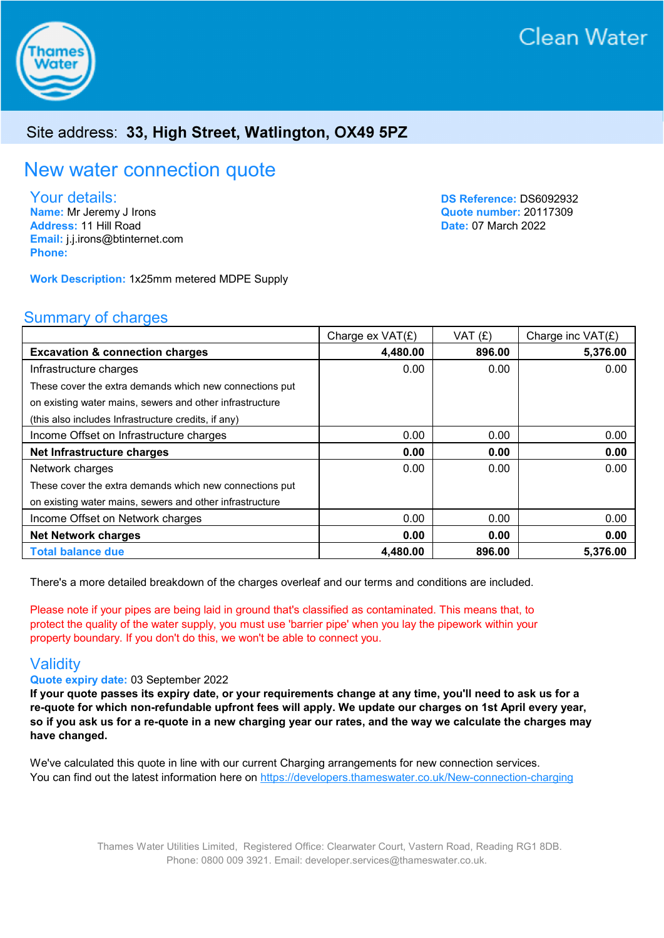

### Site address: 33, High Street, Watlington, OX49 5PZ

# New water connection quote

Your details:

Name: Mr Jeremy J Irons Address: 11 Hill Road Email: j.j.irons@btinternet.com Phone:

DS Reference: DS6092932 Quote number: 20117309 Date: 07 March 2022

Work Description: 1x25mm metered MDPE Supply

#### Summary of charges

|                                                          | Charge ex VAT(£) | VAT(E) | Charge inc $VAT(E)$ |
|----------------------------------------------------------|------------------|--------|---------------------|
| <b>Excavation &amp; connection charges</b>               | 4,480.00         | 896.00 | 5,376.00            |
| Infrastructure charges                                   | 0.00             | 0.00   | 0.00                |
| These cover the extra demands which new connections put  |                  |        |                     |
| on existing water mains, sewers and other infrastructure |                  |        |                     |
| (this also includes Infrastructure credits, if any)      |                  |        |                     |
| Income Offset on Infrastructure charges                  | 0.00             | 0.00   | 0.00                |
| Net Infrastructure charges                               | 0.00             | 0.00   | 0.00                |
| Network charges                                          | 0.00             | 0.00   | 0.00                |
| These cover the extra demands which new connections put  |                  |        |                     |
| on existing water mains, sewers and other infrastructure |                  |        |                     |
| Income Offset on Network charges                         | 0.00             | 0.00   | 0.00                |
| <b>Net Network charges</b>                               | 0.00             | 0.00   | 0.00                |
| <b>Total balance due</b>                                 | 4,480.00         | 896.00 | 5,376.00            |

There's a more detailed breakdown of the charges overleaf and our terms and conditions are included.

Please note if your pipes are being laid in ground that's classified as contaminated. This means that, to protect the quality of the water supply, you must use 'barrier pipe' when you lay the pipework within your property boundary. If you don't do this, we won't be able to connect you.

#### **Validity**

Quote expiry date: 03 September 2022

If your quote passes its expiry date, or your requirements change at any time, you'll need to ask us for a re-quote for which non-refundable upfront fees will apply. We update our charges on 1st April every year, so if you ask us for a re-quote in a new charging year our rates, and the way we calculate the charges may have changed.

We've calculated this quote in line with our current Charging arrangements for new connection services. You can find out the latest information here on https://developers.thameswater.co.uk/New-connection-charging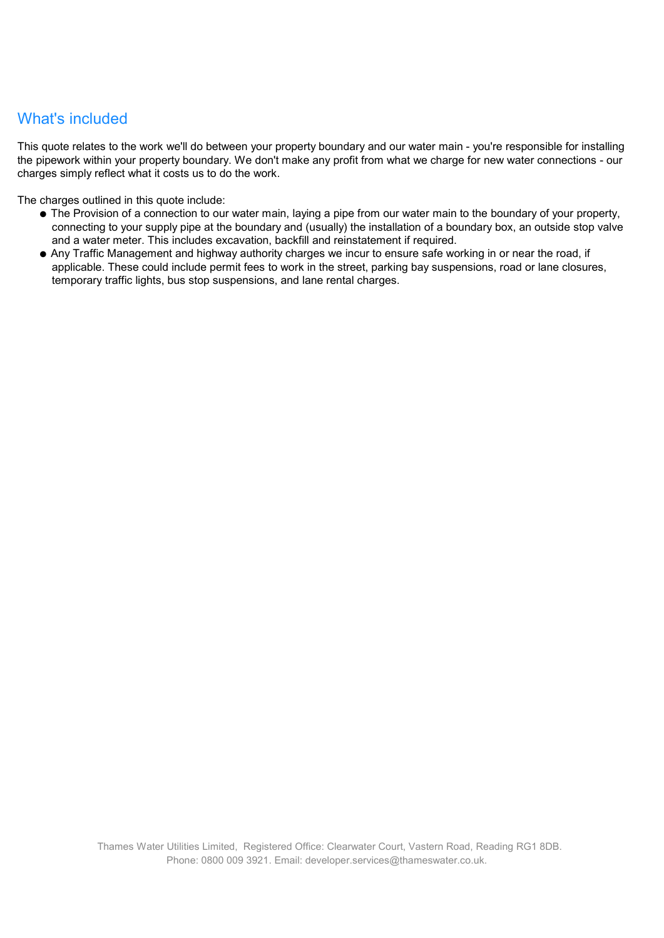### What's included

This quote relates to the work we'll do between your property boundary and our water main - you're responsible for installing the pipework within your property boundary. We don't make any profit from what we charge for new water connections - our charges simply reflect what it costs us to do the work.

The charges outlined in this quote include:

- The Provision of a connection to our water main, laying a pipe from our water main to the boundary of your property, connecting to your supply pipe at the boundary and (usually) the installation of a boundary box, an outside stop valve and a water meter. This includes excavation, backfill and reinstatement if required.
- Any Traffic Management and highway authority charges we incur to ensure safe working in or near the road, if applicable. These could include permit fees to work in the street, parking bay suspensions, road or lane closures, temporary traffic lights, bus stop suspensions, and lane rental charges.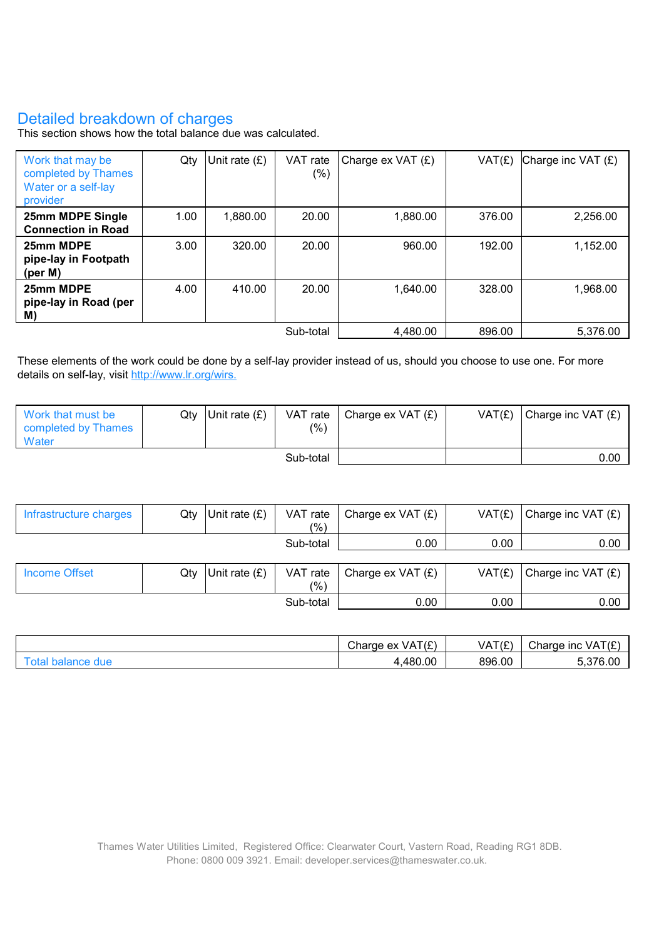## Detailed breakdown of charges

This section shows how the total balance due was calculated.

| Work that may be<br>completed by Thames<br>Water or a self-lay<br>provider | Qty  | Unit rate (£) | VAT rate<br>(%) | Charge $ex$ VAT $(E)$ | VAT(E) | Charge inc VAT $(E)$ |
|----------------------------------------------------------------------------|------|---------------|-----------------|-----------------------|--------|----------------------|
| 25mm MDPE Single<br><b>Connection in Road</b>                              | 1.00 | 1,880.00      | 20.00           | 1,880.00              | 376.00 | 2,256.00             |
| 25mm MDPE<br>pipe-lay in Footpath<br>(per M)                               | 3.00 | 320.00        | 20.00           | 960.00                | 192.00 | 1,152.00             |
| 25mm MDPE<br>pipe-lay in Road (per<br>M)                                   | 4.00 | 410.00        | 20.00           | 1,640.00              | 328.00 | 1,968.00             |
| Sub-total                                                                  |      |               |                 | 4,480.00              | 896.00 | 5,376.00             |

These elements of the work could be done by a self-lay provider instead of us, should you choose to use one. For more details on self-lay, visit http://www.lr.org/wirs.

| l Work that must be<br>completed by Thames<br>Water | Qtv | Unit rate $(E)$ | (% ) | VAT rate   Charge ex VAT $(E)$ | VAT(E) | $ ^{$ Charge inc VAT $(E)$ |
|-----------------------------------------------------|-----|-----------------|------|--------------------------------|--------|----------------------------|
| Sub-total                                           |     |                 |      |                                | 0.00   |                            |

| Infrastructure charges | Qty | Unit rate $(E)$ | VAT rate<br>(% ) | Charge ex VAT $(E)$ | VAT(E) | Charge inc VAT (£)   |
|------------------------|-----|-----------------|------------------|---------------------|--------|----------------------|
|                        |     |                 | Sub-total        | 0.00                | 0.00   | 0.00                 |
|                        |     |                 |                  |                     |        |                      |
| Income Offset          | Qty | Unit rate $(E)$ | VAT rate<br>(%)  | Charge ex VAT $(E)$ | VAT(E) | Charge inc VAT $(E)$ |
|                        |     |                 | Sub-total        | 0.00                | 0.00   | 0.00                 |

| VAT(£<br>$\sim$<br>Charge<br>. ex | VAT(E) | ۲/۴<br>$\sim$<br>Charge<br><b>INC</b><br>VA.<br>. . |
|-----------------------------------|--------|-----------------------------------------------------|
| 480.00<br>480.                    | 896.00 | $\sim$<br>.00                                       |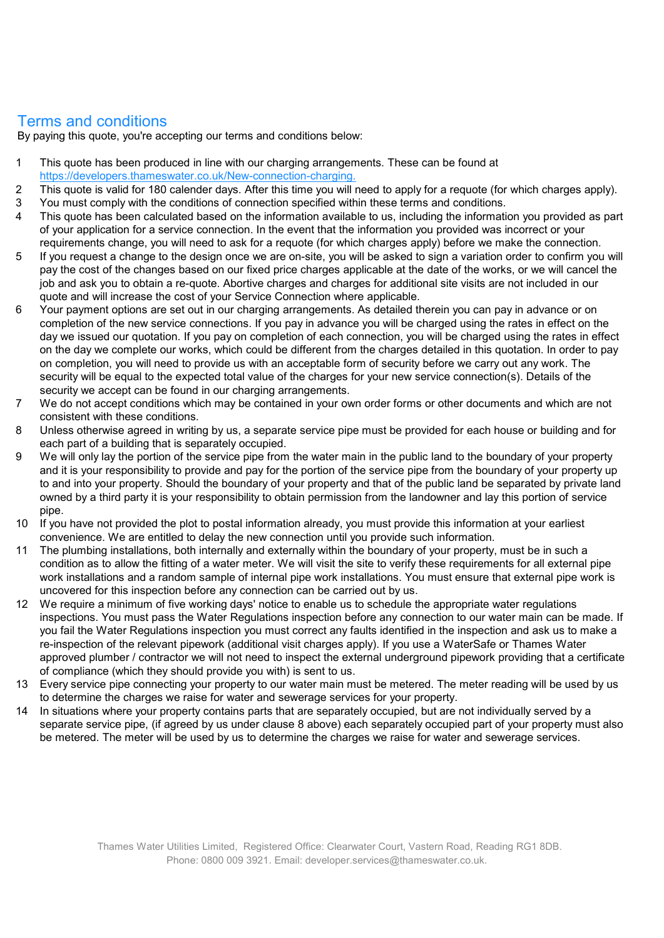#### Terms and conditions

By paying this quote, you're accepting our terms and conditions below:

- 1 This quote has been produced in line with our charging arrangements. These can be found at https://developers.thameswater.co.uk/New-connection-charging.
- 2 This quote is valid for 180 calender days. After this time you will need to apply for a requote (for which charges apply). 3 You must comply with the conditions of connection specified within these terms and conditions.
- 4 This quote has been calculated based on the information available to us, including the information you provided as part of your application for a service connection. In the event that the information you provided was incorrect or your
- requirements change, you will need to ask for a requote (for which charges apply) before we make the connection. 5 If you request a change to the design once we are on-site, you will be asked to sign a variation order to confirm you will pay the cost of the changes based on our fixed price charges applicable at the date of the works, or we will cancel the job and ask you to obtain a re-quote. Abortive charges and charges for additional site visits are not included in our quote and will increase the cost of your Service Connection where applicable.
- 6 Your payment options are set out in our charging arrangements. As detailed therein you can pay in advance or on completion of the new service connections. If you pay in advance you will be charged using the rates in effect on the day we issued our quotation. If you pay on completion of each connection, you will be charged using the rates in effect on the day we complete our works, which could be different from the charges detailed in this quotation. In order to pay on completion, you will need to provide us with an acceptable form of security before we carry out any work. The security will be equal to the expected total value of the charges for your new service connection(s). Details of the security we accept can be found in our charging arrangements.
- 7 We do not accept conditions which may be contained in your own order forms or other documents and which are not consistent with these conditions.
- 8 Unless otherwise agreed in writing by us, a separate service pipe must be provided for each house or building and for each part of a building that is separately occupied.
- 9 We will only lay the portion of the service pipe from the water main in the public land to the boundary of your property and it is your responsibility to provide and pay for the portion of the service pipe from the boundary of your property up to and into your property. Should the boundary of your property and that of the public land be separated by private land owned by a third party it is your responsibility to obtain permission from the landowner and lay this portion of service pipe.
- 10 If you have not provided the plot to postal information already, you must provide this information at your earliest convenience. We are entitled to delay the new connection until you provide such information.
- 11 The plumbing installations, both internally and externally within the boundary of your property, must be in such a condition as to allow the fitting of a water meter. We will visit the site to verify these requirements for all external pipe work installations and a random sample of internal pipe work installations. You must ensure that external pipe work is uncovered for this inspection before any connection can be carried out by us.
- 12 We require a minimum of five working days' notice to enable us to schedule the appropriate water regulations inspections. You must pass the Water Regulations inspection before any connection to our water main can be made. If you fail the Water Regulations inspection you must correct any faults identified in the inspection and ask us to make a re-inspection of the relevant pipework (additional visit charges apply). If you use a WaterSafe or Thames Water approved plumber / contractor we will not need to inspect the external underground pipework providing that a certificate of compliance (which they should provide you with) is sent to us.
- 13 Every service pipe connecting your property to our water main must be metered. The meter reading will be used by us to determine the charges we raise for water and sewerage services for your property.
- 14 In situations where your property contains parts that are separately occupied, but are not individually served by a separate service pipe, (if agreed by us under clause 8 above) each separately occupied part of your property must also be metered. The meter will be used by us to determine the charges we raise for water and sewerage services.